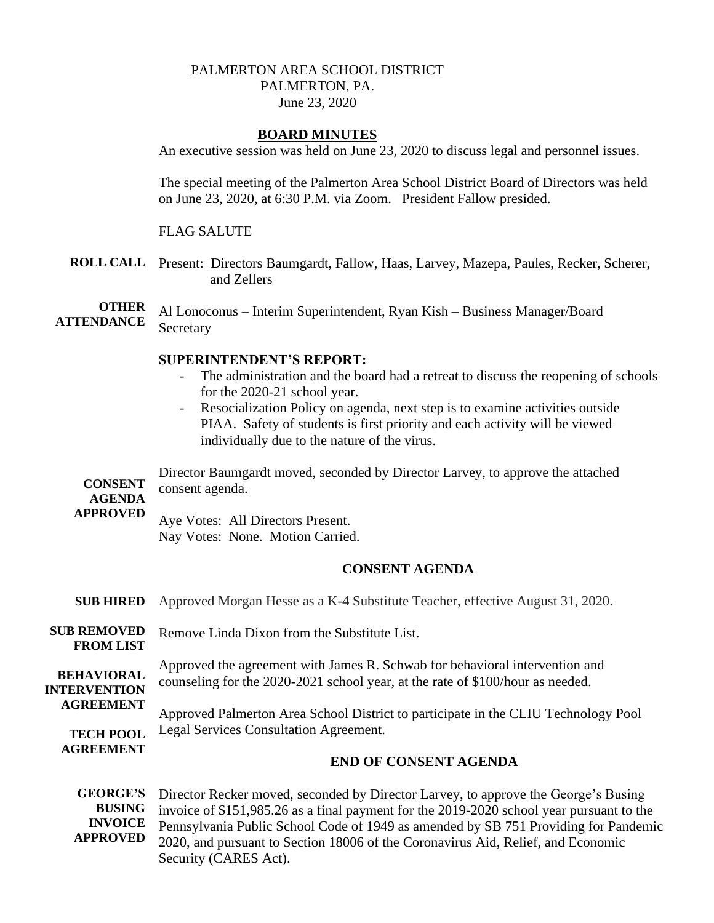## PALMERTON AREA SCHOOL DISTRICT PALMERTON, PA. June 23, 2020

## **BOARD MINUTES**

An executive session was held on June 23, 2020 to discuss legal and personnel issues.

The special meeting of the Palmerton Area School District Board of Directors was held on June 23, 2020, at 6:30 P.M. via Zoom. President Fallow presided.

#### FLAG SALUTE

**ROLL CALL** Present: Directors Baumgardt, Fallow, Haas, Larvey, Mazepa, Paules, Recker, Scherer, and Zellers

**OTHER ATTENDANCE** Al Lonoconus – Interim Superintendent, Ryan Kish – Business Manager/Board **Secretary** 

## **SUPERINTENDENT'S REPORT:**

- The administration and the board had a retreat to discuss the reopening of schools for the 2020-21 school year.
- Resocialization Policy on agenda, next step is to examine activities outside PIAA. Safety of students is first priority and each activity will be viewed individually due to the nature of the virus.

**CONSENT AGENDA**  Director Baumgardt moved, seconded by Director Larvey, to approve the attached consent agenda.

**APPROVED**

Aye Votes: All Directors Present. Nay Votes: None. Motion Carried.

#### **CONSENT AGENDA**

| <b>SUB HIRED</b>                         | Approved Morgan Hesse as a K-4 Substitute Teacher, effective August 31, 2020.                                                                                                             |
|------------------------------------------|-------------------------------------------------------------------------------------------------------------------------------------------------------------------------------------------|
| <b>SUB REMOVED</b><br><b>FROM LIST</b>   | Remove Linda Dixon from the Substitute List.                                                                                                                                              |
| <b>BEHAVIORAL</b><br><b>INTERVENTION</b> | Approved the agreement with James R. Schwab for behavioral intervention and<br>counseling for the 2020-2021 school year, at the rate of \$100/hour as needed.                             |
| <b>AGREEMENT</b><br><b>TECH POOL</b>     | Approved Palmerton Area School District to participate in the CLIU Technology Pool<br>Legal Services Consultation Agreement.                                                              |
| <b>AGREEMENT</b>                         | <b>END OF CONSENT AGENDA</b>                                                                                                                                                              |
| <b>GEORGE'S</b>                          | Director Recker moved, seconded by Director Larvey, to approve the George's Busing<br>$RIISING$ invoice of $2151.095.26$ es a final perment for the 2010 2020 school year pursuant to the |

**BUSING INVOICE APPROVED** invoice of \$151,985.26 as a final payment for the 2019-2020 school year pursuant to the Pennsylvania Public School Code of 1949 as amended by SB 751 Providing for Pandemic 2020, and pursuant to Section 18006 of the Coronavirus Aid, Relief, and Economic Security (CARES Act).